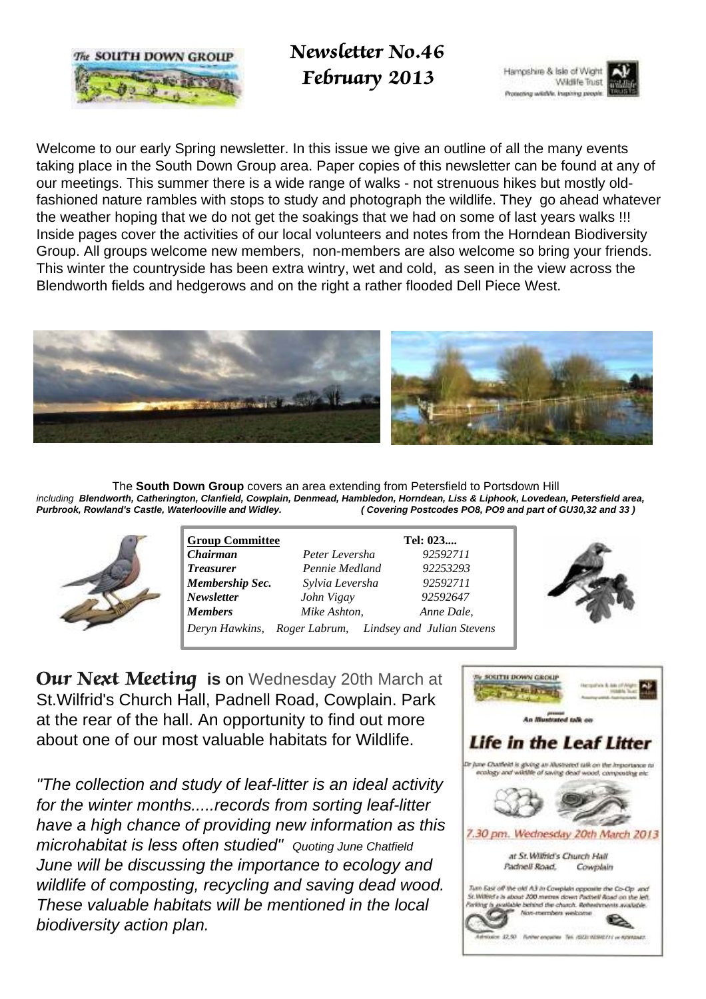

 Newsletter No.46 February 2013



Welcome to our early Spring newsletter. In this issue we give an outline of all the many events taking place in the South Down Group area. Paper copies of this newsletter can be found at any of our meetings. This summer there is a wide range of walks - not strenuous hikes but mostly oldfashioned nature rambles with stops to study and photograph the wildlife. They go ahead whatever the weather hoping that we do not get the soakings that we had on some of last years walks !!! Inside pages cover the activities of our local volunteers and notes from the Horndean Biodiversity Group. All groups welcome new members, non-members are also welcome so bring your friends. This winter the countryside has been extra wintry, wet and cold, as seen in the view across the Blendworth fields and hedgerows and on the right a rather flooded Dell Piece West.



 The **South Down Group** covers an area extending from Petersfield to Portsdown Hill including **Blendworth, Catherington, Clanfield, Cowplain, Denmead, Hambledon, Horndean, Liss & Liphook, Lovedean, Petersfield area, (Covering Postcodes PO8, PO9 and part of GU30,32 and 33)** 



| <b>Group Committee</b> |                                                         | Tel: 023   |
|------------------------|---------------------------------------------------------|------------|
| <b>Chairman</b>        | Peter Leversha                                          | 92592711   |
| <b>Treasurer</b>       | Pennie Medland                                          | 92253293   |
| Membership Sec.        | Sylvia Leversha                                         | 92592711   |
| <b>Newsletter</b>      | John Vigay                                              | 92592647   |
| <b>Members</b>         | Mike Ashton,                                            | Anne Dale, |
|                        | Deryn Hawkins, Roger Labrum, Lindsey and Julian Stevens |            |



Our Next Meeting **is** on Wednesday 20th March at St.Wilfrid's Church Hall, Padnell Road, Cowplain. Park at the rear of the hall. An opportunity to find out more about one of our most valuable habitats for Wildlife.

"The collection and study of leaf-litter is an ideal activity for the winter months.....records from sorting leaf-litter have a high chance of providing new information as this microhabitat is less often studied" Quoting June Chatfield June will be discussing the importance to ecology and wildlife of composting, recycling and saving dead wood. These valuable habitats will be mentioned in the local biodiversity action plan.

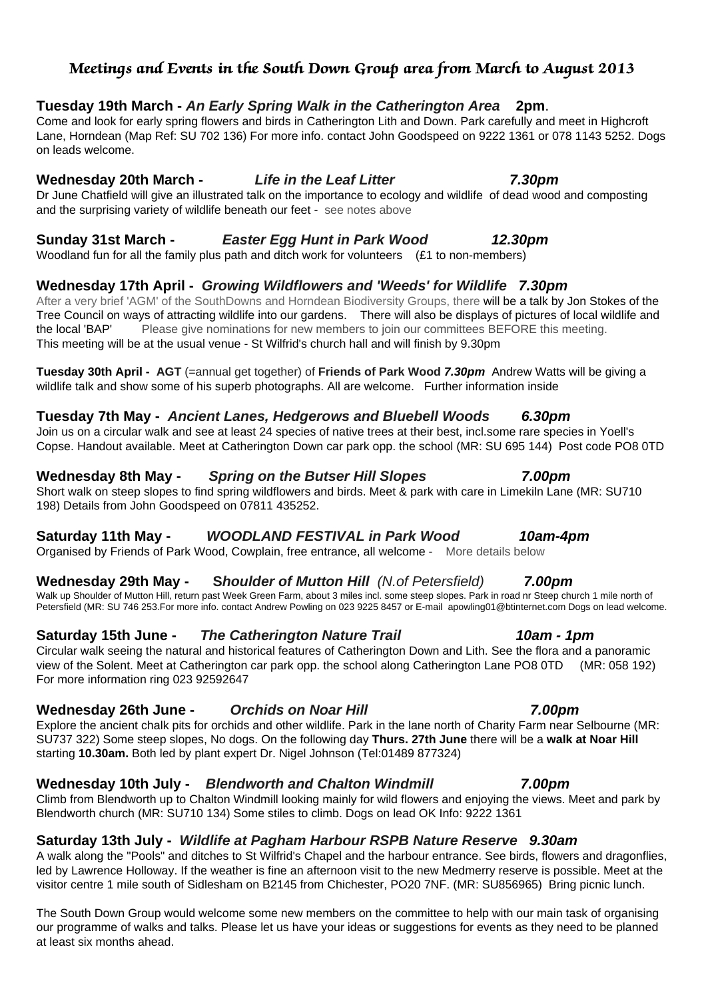### Meetings and Events in the South Down Group area from March to August 2013

#### **Tuesday 19th March - An Early Spring Walk in the Catherington Area 2pm**.

Come and look for early spring flowers and birds in Catherington Lith and Down. Park carefully and meet in Highcroft Lane, Horndean (Map Ref: SU 702 136) For more info. contact John Goodspeed on 9222 1361 or 078 1143 5252. Dogs on leads welcome.

#### **Wednesday 20th March - Life in the Leaf Litter 7.30pm**

Dr June Chatfield will give an illustrated talk on the importance to ecology and wildlife of dead wood and composting and the surprising variety of wildlife beneath our feet - see notes above

### **Sunday 31st March - Easter Egg Hunt in Park Wood 12.30pm**

Woodland fun for all the family plus path and ditch work for volunteers (£1 to non-members)

### **Wednesday 17th April - Growing Wildflowers and 'Weeds' for Wildlife 7.30pm**

After a very brief 'AGM' of the SouthDowns and Horndean Biodiversity Groups, there will be a talk by Jon Stokes of the Tree Council on ways of attracting wildlife into our gardens. There will also be displays of pictures of local wildlife and the local 'BAP' Please give nominations for new members to join our committees BEFORE this meeting. This meeting will be at the usual venue - St Wilfrid's church hall and will finish by 9.30pm

**Tuesday 30th April - AGT** (=annual get together) of **Friends of Park Wood 7.30pm** Andrew Watts will be giving a wildlife talk and show some of his superb photographs. All are welcome. Further information inside

### **Tuesday 7th May - Ancient Lanes, Hedgerows and Bluebell Woods 6.30pm**

#### Join us on a circular walk and see at least 24 species of native trees at their best, incl.some rare species in Yoell's Copse. Handout available. Meet at Catherington Down car park opp. the school (MR: SU 695 144) Post code PO8 0TD

#### **Wednesday 8th May - Spring on the Butser Hill Slopes 7.00pm**

Short walk on steep slopes to find spring wildflowers and birds. Meet & park with care in Limekiln Lane (MR: SU710 198) Details from John Goodspeed on 07811 435252.

### **Saturday 11th May - WOODLAND FESTIVAL in Park Wood 10am-4pm**

Organised by Friends of Park Wood, Cowplain, free entrance, all welcome - More details below

### **Wednesday 29th May - Shoulder of Mutton Hill** (N.of Petersfield) **7.00pm**

Walk up Shoulder of Mutton Hill, return past Week Green Farm, about 3 miles incl. some steep slopes. Park in road nr Steep church 1 mile north of Petersfield (MR: SU 746 253.For more info. contact Andrew Powling on 023 9225 8457 or E-mail apowling01@btinternet.com Dogs on lead welcome.

### **Saturday 15th June - The Catherington Nature Trail 10am - 1pm**

Circular walk seeing the natural and historical features of Catherington Down and Lith. See the flora and a panoramic view of the Solent. Meet at Catherington car park opp. the school along Catherington Lane PO8 0TD (MR: 058 192) For more information ring 023 92592647

### **Wednesday 26th June - Orchids on Noar Hill 7.00pm**

Explore the ancient chalk pits for orchids and other wildlife. Park in the lane north of Charity Farm near Selbourne (MR: SU737 322) Some steep slopes, No dogs. On the following day **Thurs. 27th June** there will be a **walk at Noar Hill** starting **10.30am.** Both led by plant expert Dr. Nigel Johnson (Tel:01489 877324)

### **Wednesday 10th July - Blendworth and Chalton Windmill 7.00pm**

Climb from Blendworth up to Chalton Windmill looking mainly for wild flowers and enjoying the views. Meet and park by Blendworth church (MR: SU710 134) Some stiles to climb. Dogs on lead OK Info: 9222 1361

### **Saturday 13th July - Wildlife at Pagham Harbour RSPB Nature Reserve 9.30am**

A walk along the "Pools" and ditches to St Wilfrid's Chapel and the harbour entrance. See birds, flowers and dragonflies, led by Lawrence Holloway. If the weather is fine an afternoon visit to the new Medmerry reserve is possible. Meet at the visitor centre 1 mile south of Sidlesham on B2145 from Chichester, PO20 7NF. (MR: SU856965) Bring picnic lunch.

The South Down Group would welcome some new members on the committee to help with our main task of organising our programme of walks and talks. Please let us have your ideas or suggestions for events as they need to be planned at least six months ahead.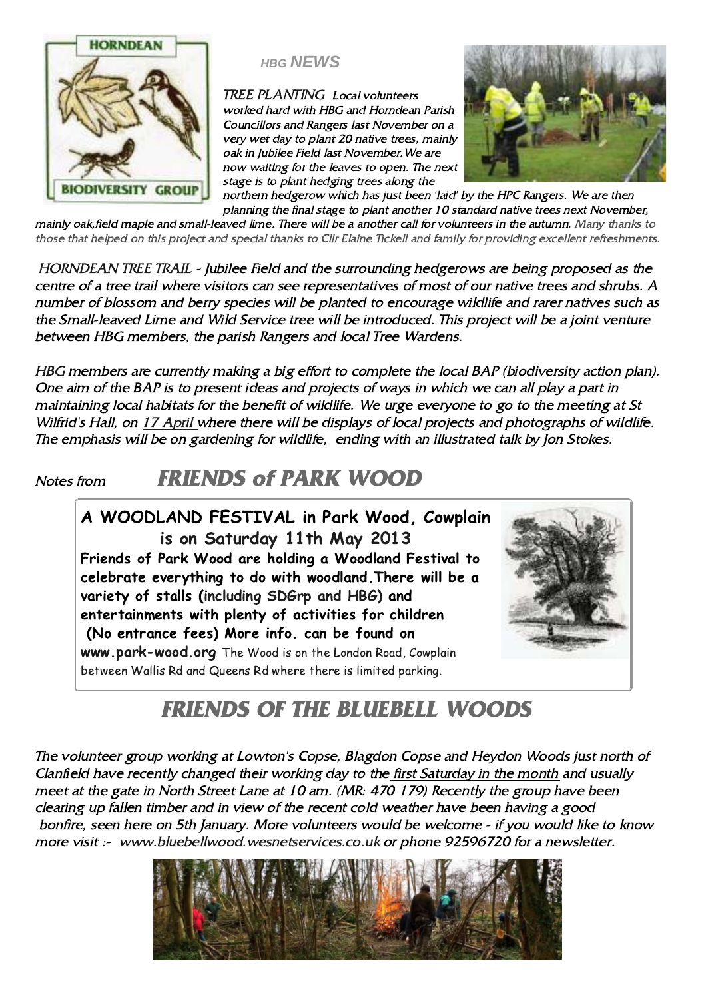

## **HBG NEWS**

TREE PLANTING Local volunteers worked hard with HBG and Horndean Parish Councillors and Rangers last November on a very wet day to plant 20 native trees, mainly oak in Jubilee Field last November.We are now waiting for the leaves to open. The next stage is to plant hedging trees along the



northern hedgerow which has just been 'laid' by the HPC Rangers. We are then planning the final stage to plant another 10 standard native trees next November, mainly oak,field maple and small-leaved lime. There will be a another call for volunteers in the autumn. Many thanks to those that helped on this project and special thanks to Cllr Elaine Tickell and family for providing excellent refreshments.

HORNDEAN TREE TRAIL - Jubilee Field and the surrounding hedgerows are being proposed as the centre of a tree trail where visitors can see representatives of most of our native trees and shrubs. A number of blossom and berry species will be planted to encourage wildlife and rarer natives such as the Small-leaved Lime and Wild Service tree will be introduced. This project will be a joint venture between HBG members, the parish Rangers and local Tree Wardens.

HBG members are currently making a big effort to complete the local BAP (biodiversity action plan). One aim of the BAP is to present ideas and projects of ways in which we can all play a part in maintaining local habitats for the benefit of wildlife. We urge everyone to go to the meeting at St Wilfrid's Hall, on 17 April where there will be displays of local projects and photographs of wildlife. The emphasis will be on gardening for wildlife, ending with an illustrated talk by Jon Stokes.

## Notes from **FRIENDS of PARK WOOD**

## A WOODLAND FESTIVAL in Park Wood, Cowplain is on Saturday 11th May 2013 Friends of Park Wood are holding a Woodland Festival to celebrate everything to do with woodland.There will be a variety of stalls (including SDGrp and HBG) and entertainments with plenty of activities for children (No entrance fees) More info. can be found on www.park-wood.org The Wood is on the London Road, Cowplain between Wallis Rd and Queens Rd where there is limited parking.



# FRIENDS OF THE BLUEBELL WOODS

The volunteer group working at Lowton's Copse, Blagdon Copse and Heydon Woods just north of Clanfield have recently changed their working day to the first Saturday in the month and usually meet at the gate in North Street Lane at 10 am. (MR: 470 179) Recently the group have been clearing up fallen timber and in view of the recent cold weather have been having a good bonfire, seen here on 5th January. More volunteers would be welcome - if you would like to know more visit :- www.bluebellwood.wesnetservices.co.uk or phone 92596720 for a newsletter.